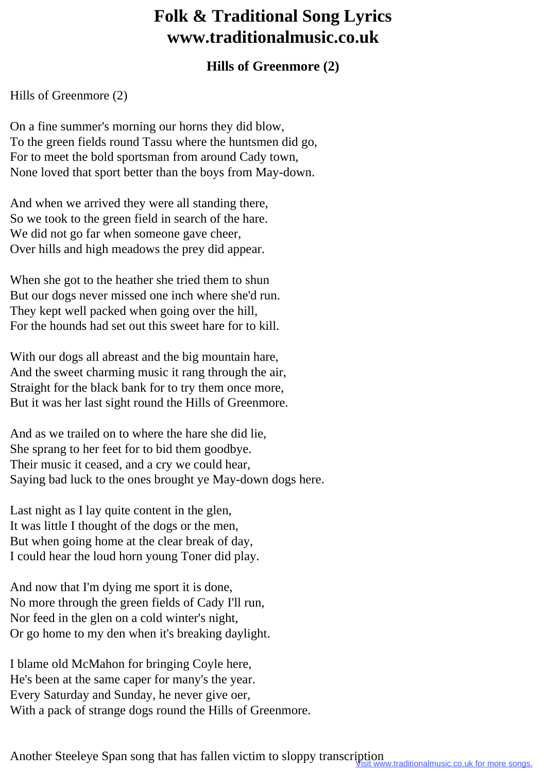## **Folk & Traditional Song Lyrics www.traditionalmusic.co.uk**

## **Hills of Greenmore (2)**

## Hills of Greenmore (2)

On a fine summer's morning our horns they did blow, To the green fields round Tassu where the huntsmen did go, For to meet the bold sportsman from around Cady town, None loved that sport better than the boys from May-down.

And when we arrived they were all standing there, So we took to the green field in search of the hare. We did not go far when someone gave cheer, Over hills and high meadows the prey did appear.

When she got to the heather she tried them to shun But our dogs never missed one inch where she'd run. They kept well packed when going over the hill, For the hounds had set out this sweet hare for to kill.

With our dogs all abreast and the big mountain hare, And the sweet charming music it rang through the air, Straight for the black bank for to try them once more, But it was her last sight round the Hills of Greenmore.

And as we trailed on to where the hare she did lie, She sprang to her feet for to bid them goodbye. Their music it ceased, and a cry we could hear, Saying bad luck to the ones brought ye May-down dogs here.

Last night as I lay quite content in the glen, It was little I thought of the dogs or the men, But when going home at the clear break of day, I could hear the loud horn young Toner did play.

And now that I'm dying me sport it is done, No more through the green fields of Cady I'll run, Nor feed in the glen on a cold winter's night, Or go home to my den when it's breaking daylight.

I blame old McMahon for bringing Coyle here, He's been at the same caper for many's the year. Every Saturday and Sunday, he never give oer, With a pack of strange dogs round the Hills of Greenmore.

Another Steeleye Span song that has fallen victim to sloppy transcription ww.traditionalmusic.co.uk for more songs.